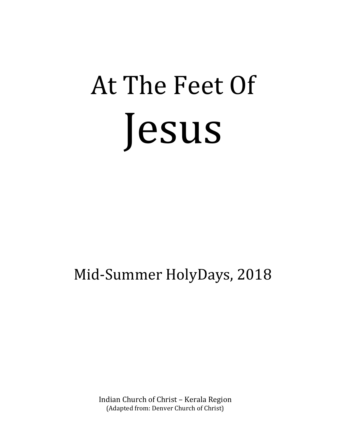# At The Feet Of Jesus

## Mid-Summer HolyDays, 2018

Indian Church of Christ – Kerala Region (Adapted from: Denver Church of Christ)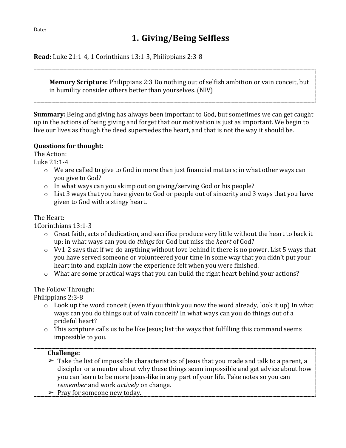## **1. Giving/Being Selfless**

**Read:** Luke 21:1-4, 1 Corinthians 13:1-3, Philippians 2:3-8

**Memory Scripture:** Philippians 2:3 Do nothing out of selfish ambition or vain conceit, but in humility consider others better than yourselves. (NIV)

**Summary:** Being and giving has always been important to God, but sometimes we can get caught up in the actions of being giving and forget that our motivation is just as important. We begin to live our lives as though the deed supersedes the heart, and that is not the way it should be.

#### **Questions for thought:**

The Action:

Luke 21:1-4

- o We are called to give to God in more than just financial matters; in what other ways can you give to God?
- o In what ways can you skimp out on giving/serving God or his people?
- o List 3 ways that you have given to God or people out of sincerity and 3 ways that you have given to God with a stingy heart.

#### The Heart:

1Corinthians 13:1-3

- $\circ$  Great faith, acts of dedication, and sacrifice produce very little without the heart to back it up; in what ways can you do *things* for God but miss the *heart* of God?
- $\circ$  Vv1-2 says that if we do anything without love behind it there is no power. List 5 ways that you have served someone or volunteered your time in some way that you didn't put your heart into and explain how the experience felt when you were finished.
- o What are some practical ways that you can build the right heart behind your actions?

#### The Follow Through:

Philippians 2:3-8

- $\circ$  Look up the word conceit (even if you think you now the word already, look it up) In what ways can you do things out of vain conceit? In what ways can you do things out of a prideful heart?
- $\circ$  This scripture calls us to be like Jesus; list the ways that fulfilling this command seems impossible to you.

- $\triangleright$  Take the list of impossible characteristics of Jesus that you made and talk to a parent, a discipler or a mentor about why these things seem impossible and get advice about how you can learn to be more Jesus-like in any part of your life. Take notes so you can *remember* and work *actively* on change.
- $\triangleright$  Pray for someone new today.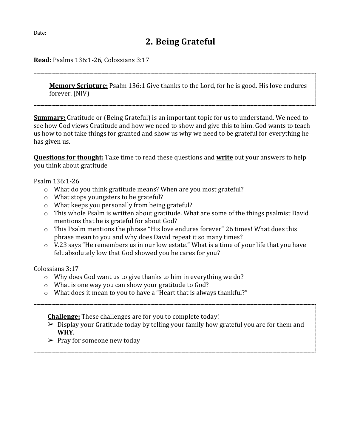**Read:** Psalms 136:1-26, Colossians 3:17

**Memory Scripture:** Psalm 136:1 Give thanks to the Lord, for he is good. His love endures forever. (NIV)

**Summary:** Gratitude or (Being Grateful) is an important topic for us to understand. We need to see how God views Gratitude and how we need to show and give this to him. God wants to teach us how to not take things for granted and show us why we need to be grateful for everything he has given us.

**Questions for thought:** Take time to read these questions and **write** out your answers to help you think about gratitude

Psalm 136:1-26

- o What do you think gratitude means? When are you most grateful?
- o What stops youngsters to be grateful?
- o What keeps you personally from being grateful?
- o This whole Psalm is written about gratitude. What are some of the things psalmist David mentions that he is grateful for about God?
- o This Psalm mentions the phrase "His love endures forever" 26 times! What does this phrase mean to you and why does David repeat it so many times?
- $\circ$  V.23 says "He remembers us in our low estate." What is a time of your life that you have felt absolutely low that God showed you he cares for you?

Colossians 3:17

- o Why does God want us to give thanks to him in everything we do?
- o What is one way you can show your gratitude to God?
- o What does it mean to you to have a "Heart that is always thankful?"

**Challenge:** These challenges are for you to complete today!

- $\triangleright$  Display your Gratitude today by telling your family how grateful you are for them and **WHY**.
- $\triangleright$  Pray for someone new today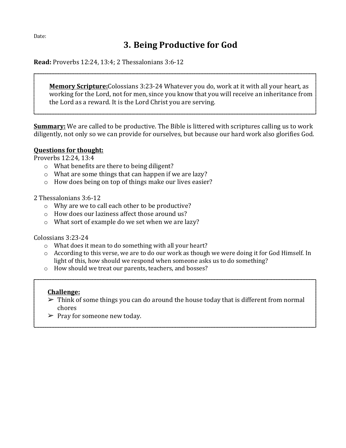## **3. Being Productive for God**

**Read:** Proverbs 12:24, 13:4; 2 Thessalonians 3:6-12

**Memory Scripture:**Colossians 3:23-24 Whatever you do, work at it with all your heart, as working for the Lord, not for men, since you know that you will receive an inheritance from the Lord as a reward. It is the Lord Christ you are serving.

**Summary:** We are called to be productive. The Bible is littered with scriptures calling us to work diligently, not only so we can provide for ourselves, but because our hard work also glorifies God.

#### **Questions for thought:**

Proverbs 12:24, 13:4

- o What benefits are there to being diligent?
- o What are some things that can happen if we are lazy?
- o How does being on top of things make our lives easier?

#### 2 Thessalonians 3:6-12

- o Why are we to call each other to be productive?
- o How does our laziness affect those around us?
- o What sort of example do we set when we are lazy?

Colossians 3:23-24

- o What does it mean to do something with all your heart?
- $\circ$  According to this verse, we are to do our work as though we were doing it for God Himself. In light of this, how should we respond when someone asks us to do something?
- o How should we treat our parents, teachers, and bosses?

- $\triangleright$  Think of some things you can do around the house today that is different from normal chores
- $\triangleright$  Pray for someone new today.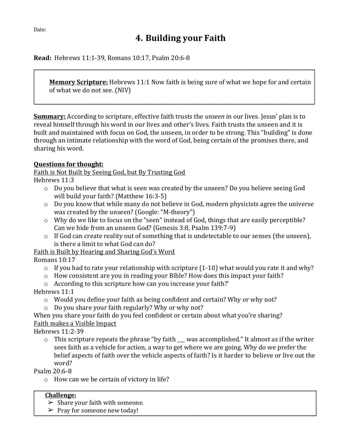## **4. Building your Faith**

**Read:** Hebrews 11:1-39, Romans 10:17, Psalm 20:6-8

**Memory Scripture:** Hebrews 11:1 Now faith is being sure of what we hope for and certain of what we do not see. (NIV)

**Summary:** According to scripture, effective faith trusts the *unseen* in our lives. Jesus' plan is to reveal himself through his word in our lives and other's lives. Faith trusts the unseen and it is built and maintained with focus on God, the unseen, in order to be strong. This "building" is done through an intimate relationship with the word of God, being certain of the promises there, and sharing his word.

#### **Questions for thought:**

Faith is Not Built by Seeing God, but By Trusting God

Hebrews 11:3

- $\circ$  Do you believe that what is seen was created by the unseen? Do you believe seeing God will build your faith? (Matthew 16:3-5)
- o Do you know that while many do not believe in God, modern physicists agree the universe was created by the unseen? (Google: "M-theory")
- o Why do we like to focus on the "seen" instead of God, things that are easily perceptible? Can we hide from an unseen God? (Genesis 3:8, Psalm 139:7-9)
- o If God can create reality out of something that is undetectable to our senses (the unseen), is there a limit to what God can do?

Faith is Built by Hearing and Sharing God's Word

Romans 10:17

- $\circ$  If you had to rate your relationship with scripture (1-10) what would you rate it and why?
- o How consistent are you in reading your Bible? How does this impact your faith?
- o According to this scripture how can you increase your faith?'

Hebrews 11:1

- o Would you define your faith as being confident and certain? Why or why not?
- o Do you share your faith regularly? Why or why not?

When you share your faith do you feel confident or certain about what you're sharing? Faith makes a Visible Impact

Hebrews 11:2-39

 $\circ$  This scripture repeats the phrase "by faith was accomplished." It almost as if the writer sees faith as a vehicle for action, a way to get where we are going. Why do we prefer the belief aspects of faith over the vehicle aspects of faith? Is it harder to believe or live out the word?

Psalm 20:6-8

o How can we be certain of victory in life?

- $\triangleright$  Share your faith with someone.
- $\triangleright$  Pray for someone new today!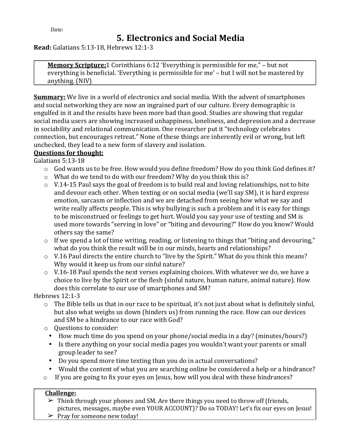## **5. Electronics and Social Media**

**Read:** Galatians 5:13-18, Hebrews 12:1-3

**Memory Scripture:**1 Corinthians 6:12 'Everything is permissible for me," – but not everything is beneficial. 'Everything is permissible for me' – but I will not be mastered by anything. (NIV)

**Summary:** We live in a world of electronics and social media. With the advent of smartphones and social networking they are now an ingrained part of our culture. Every demographic is engulfed in it and the results have been more bad than good. Studies are showing that regular social media users are showing increased unhappiness, loneliness, and depression and a decrease in sociability and relational communication. One researcher put it "technology celebrates connection, but encourages retreat." None of these things are inherently evil or wrong, but left unchecked, they lead to a new form of slavery and isolation.

#### **Questions for thought:**

Galatians 5:13-18

- $\circ$  God wants us to be free. How would you define freedom? How do you think God defines it?
- o What do we tend to do with our freedom? Why do you think this is?
- $\circ$  V.14-15 Paul says the goal of freedom is to build real and loving relationships, not to bite and devour each other. When texting or on social media (we'll say SM), it is hard express emotion, sarcasm or inflection and we are detached from seeing how what we say and write really affects people. This is why bullying is such a problem and it is easy for things to be misconstrued or feelings to get hurt. Would you say your use of texting and SM is used more towards "serving in love" or "biting and devouring?" How do you know? Would others say the same?
- $\circ$  If we spend a lot of time writing, reading, or listening to things that "biting and devouring," what do you think the result will be in our minds, hearts and relationships?
- o V.16 Paul directs the entire church to "live by the Spirit." What do you think this means? Why would it keep us from our sinful nature?
- $\circ$  V.16-18 Paul spends the next verses explaining choices. With whatever we do, we have a choice to live by the Spirit or the flesh (sinful nature, human nature, animal nature). How does this correlate to our use of smartphones and SM?

Hebrews 12:1-3

- $\circ$  The Bible tells us that in our race to be spiritual, it's not just about what is definitely sinful, but also what weighs us down (hinders us) from running the race. How can our devices and SM be a hindrance to our race with God?
- o Questions to consider:
	- How much time do you spend on your phone/social media in a day? (minutes/hours?)
	- Is there anything on your social media pages you wouldn't want your parents or small group leader to see?
	- Do you spend more time texting than you do in actual conversations?
	- Would the content of what you are searching online be considered a help or a hindrance?
- o If you are going to fix your eyes on Jesus, how will you deal with these hindrances?

#### **Challenge:**

 $\triangleright$  Think through your phones and SM. Are there things you need to throw off (friends, pictures, messages, maybe even YOUR ACCOUNT)? Do so TODAY! Let's fix our eyes on Jesus!  $\triangleright$  Pray for someone new today!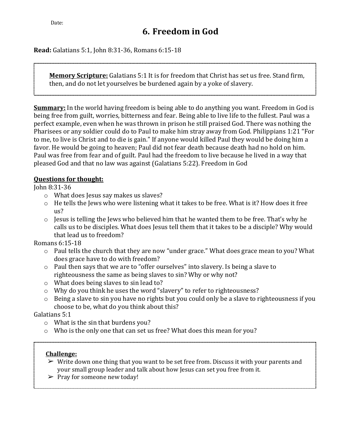**Read:** Galatians 5:1, John 8:31-36, Romans 6:15-18

**Memory Scripture:** Galatians 5:1 It is for freedom that Christ has set us free. Stand firm, then, and do not let yourselves be burdened again by a yoke of slavery.

**Summary:** In the world having freedom is being able to do anything you want. Freedom in God is being free from guilt, worries, bitterness and fear. Being able to live life to the fullest. Paul was a perfect example, even when he was thrown in prison he still praised God. There was nothing the Pharisees or any soldier could do to Paul to make him stray away from God. Philippians 1:21 "For to me, to live is Christ and to die is gain." If anyone would killed Paul they would be doing him a favor. He would be going to heaven; Paul did not fear death because death had no hold on him. Paul was free from fear and of guilt. Paul had the freedom to live because he lived in a way that pleased God and that no law was against (Galatians 5:22). Freedom in God

#### **Questions for thought:**

John 8:31-36

- o What does Jesus say makes us slaves?
- o He tells the Jews who were listening what it takes to be free. What is it? How does it free us?
- o Jesus is telling the Jews who believed him that he wanted them to be free. That's why he calls us to be disciples. What does Jesus tell them that it takes to be a disciple? Why would that lead us to freedom?

Romans 6:15-18

- o Paul tells the church that they are now "under grace." What does grace mean to you? What does grace have to do with freedom?
- o Paul then says that we are to "offer ourselves" into slavery. Is being a slave to righteousness the same as being slaves to sin? Why or why not?
- o What does being slaves to sin lead to?
- o Why do you think he uses the word "slavery" to refer to righteousness?
- o Being a slave to sin you have no rights but you could only be a slave to righteousness if you choose to be, what do you think about this?

Galatians 5:1

- o What is the sin that burdens you?
- o Who is the only one that can set us free? What does this mean for you?

- $\triangleright$  Write down one thing that you want to be set free from. Discuss it with your parents and your small group leader and talk about how Jesus can set you free from it.
- $\triangleright$  Pray for someone new today!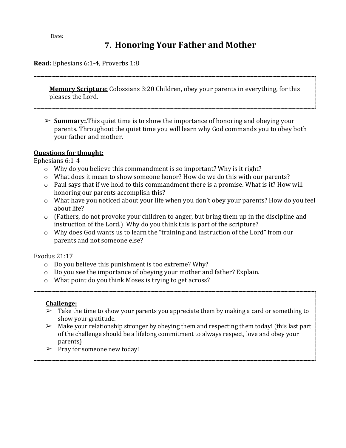## **7. Honoring Your Father and Mother**

**Read:** Ephesians 6:1-4, Proverbs 1:8

**Memory Scripture:** Colossians 3:20 Children, obey your parents in everything, for this pleases the Lord.

➢ **Summary:**.This quiet time is to show the importance of honoring and obeying your parents. Throughout the quiet time you will learn why God commands you to obey both your father and mother.

#### **Questions for thought:**

Ephesians 6:1-4

- o Why do you believe this commandment is so important? Why is it right?
- o What does it mean to show someone honor? How do we do this with our parents?
- o Paul says that if we hold to this commandment there is a promise. What is it? How will honoring our parents accomplish this?
- o What have you noticed about your life when you don't obey your parents? How do you feel about life?
- $\circ$  (Fathers, do not provoke your children to anger, but bring them up in the discipline and instruction of the Lord.) Why do you think this is part of the scripture?
- o Why does God wants us to learn the "training and instruction of the Lord" from our parents and not someone else?

Exodus 21:17

- o Do you believe this punishment is too extreme? Why?
- $\circ$  Do you see the importance of obeying your mother and father? Explain.
- o What point do you think Moses is trying to get across?

- $\triangleright$  Take the time to show your parents you appreciate them by making a card or something to show your gratitude.
- $\triangleright$  Make your relationship stronger by obeying them and respecting them today! (this last part of the challenge should be a lifelong commitment to always respect, love and obey your parents)
- $\triangleright$  Pray for someone new today!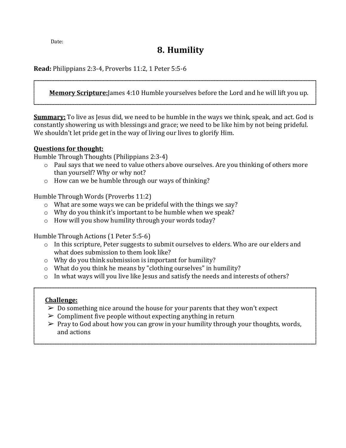## **8. Humility**

**Read:** Philippians 2:3-4, Proverbs 11:2, 1 Peter 5:5-6

**Memory Scripture:**James 4:10 Humble yourselves before the Lord and he will lift you up.

**Summary:** To live as Jesus did, we need to be humble in the ways we think, speak, and act. God is constantly showering us with blessings and grace; we need to be like him by not being prideful. We shouldn't let pride get in the way of living our lives to glorify Him.

#### **Questions for thought:**

Humble Through Thoughts (Philippians 2:3-4)

- o Paul says that we need to value others above ourselves. Are you thinking of others more than yourself? Why or why not?
- o How can we be humble through our ways of thinking?

Humble Through Words (Proverbs 11:2)

- o What are some ways we can be prideful with the things we say?
- o Why do you think it's important to be humble when we speak?
- $\circ$  How will you show humility through your words today?

Humble Through Actions (1 Peter 5:5-6)

- o In this scripture, Peter suggests to submit ourselves to elders. Who are our elders and what does submission to them look like?
- o Why do you think submission is important for humility?
- o What do you think he means by "clothing ourselves" in humility?
- o In what ways will you live like Jesus and satisfy the needs and interests of others?

- $\geq 0$  Do something nice around the house for your parents that they won't expect
- $\geq$  Compliment five people without expecting anything in return
- $\triangleright$  Pray to God about how you can grow in your humility through your thoughts, words, and actions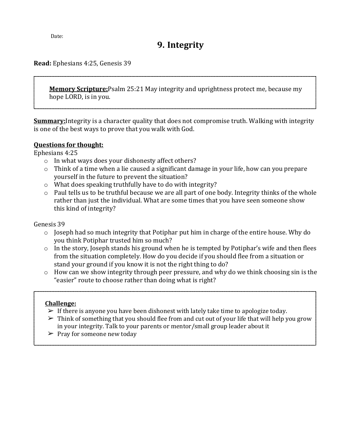## **9. Integrity**

#### **Read:** Ephesians 4:25, Genesis 39

**Memory Scripture:**Psalm 25:21 May integrity and uprightness protect me, because my hope LORD, is in you.

**Summary:**Integrity is a character quality that does not compromise truth. Walking with integrity is one of the best ways to prove that you walk with God.

#### **Questions for thought:**

Ephesians 4:25

- o In what ways does your dishonesty affect others?
- o Think of a time when a lie caused a significant damage in your life, how can you prepare yourself in the future to prevent the situation?
- o What does speaking truthfully have to do with integrity?
- o Paul tells us to be truthful because we are all part of one body. Integrity thinks of the whole rather than just the individual. What are some times that you have seen someone show this kind of integrity?

Genesis 39

- o Joseph had so much integrity that Potiphar put him in charge of the entire house. Why do you think Potiphar trusted him so much?
- $\circ$  In the story, Joseph stands his ground when he is tempted by Potiphar's wife and then flees from the situation completely. How do you decide if you should flee from a situation or stand your ground if you know it is not the right thing to do?
- $\circ$  How can we show integrity through peer pressure, and why do we think choosing sin is the "easier" route to choose rather than doing what is right?

- $\triangleright$  If there is anyone you have been dishonest with lately take time to apologize today.
- $\triangleright$  Think of something that you should flee from and cut out of your life that will help you grow in your integrity. Talk to your parents or mentor/small group leader about it
- $\triangleright$  Pray for someone new today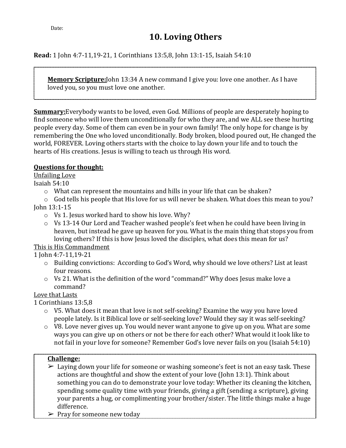**Read:** 1 John 4:7-11,19-21, 1 Corinthians 13:5,8, John 13:1-15, Isaiah 54:10

**Memory Scripture:**John 13:34 A new command I give you: love one another. As I have loved you, so you must love one another.

**Summary:**Everybody wants to be loved, even God. Millions of people are desperately hoping to find someone who will love them unconditionally for who they are, and we ALL see these hurting people every day. Some of them can even be in your own family! The only hope for change is by remembering the One who loved unconditionally. Body broken, blood poured out, He changed the world, FOREVER. Loving others starts with the choice to lay down your life and to touch the hearts of His creations. Jesus is willing to teach us through His word.

#### **Questions for thought:**

Unfailing Love

- Isaiah 54:10
	- $\circ$  What can represent the mountains and hills in your life that can be shaken?

o God tells his people that His love for us will never be shaken. What does this mean to you? John 13:1-15

- o Vs 1. Jesus worked hard to show his love. Why?
- o Vs 13-14 Our Lord and Teacher washed people's feet when he could have been living in heaven, but instead he gave up heaven for you. What is the main thing that stops you from loving others? If this is how Jesus loved the disciples, what does this mean for us?

#### This is His Commandment

1 John 4:7-11,19-21

- o Building convictions: According to God's Word, why should we love others? List at least four reasons.
- o Vs 21. What is the definition of the word "command?" Why does Jesus make love a command?

#### Love that Lasts

1 Corinthians 13:5,8

- o V5. What does it mean that love is not self-seeking? Examine the way you have loved people lately. Is it Biblical love or self-seeking love? Would they say it was self-seeking?
- o V8. Love never gives up. You would never want anyone to give up on you. What are some ways you can give up on others or not be there for each other? What would it look like to not fail in your love for someone? Remember God's love never fails on you (Isaiah 54:10)

- $\geq$  Laying down your life for someone or washing someone's feet is not an easy task. These actions are thoughtful and show the extent of your love (John 13:1). Think about something you can do to demonstrate your love today: Whether its cleaning the kitchen, spending some quality time with your friends, giving a gift (sending a scripture), giving your parents a hug, or complimenting your brother/sister. The little things make a huge difference.
- $\triangleright$  Pray for someone new today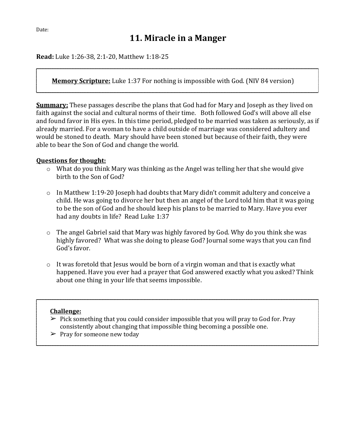**Read:** Luke 1:26-38, 2:1-20, Matthew 1:18-25

**Memory Scripture:** Luke 1:37 For nothing is impossible with God. (NIV 84 version)

**Summary:** These passages describe the plans that God had for Mary and Joseph as they lived on faith against the social and cultural norms of their time. Both followed God's will above all else and found favor in His eyes. In this time period, pledged to be married was taken as seriously, as if already married. For a woman to have a child outside of marriage was considered adultery and would be stoned to death. Mary should have been stoned but because of their faith, they were able to bear the Son of God and change the world.

#### **Questions for thought:**

- o What do you think Mary was thinking as the Angel was telling her that she would give birth to the Son of God?
- o In Matthew 1:19-20 Joseph had doubts that Mary didn't commit adultery and conceive a child. He was going to divorce her but then an angel of the Lord told him that it was going to be the son of God and he should keep his plans to be married to Mary. Have you ever had any doubts in life? Read Luke 1:37
- o The angel Gabriel said that Mary was highly favored by God. Why do you think she was highly favored? What was she doing to please God? Journal some ways that you can find God's favor.
- o It was foretold that Jesus would be born of a virgin woman and that is exactly what happened. Have you ever had a prayer that God answered exactly what you asked? Think about one thing in your life that seems impossible.

- $\triangleright$  Pick something that you could consider impossible that you will pray to God for. Pray consistently about changing that impossible thing becoming a possible one.
- $\triangleright$  Pray for someone new today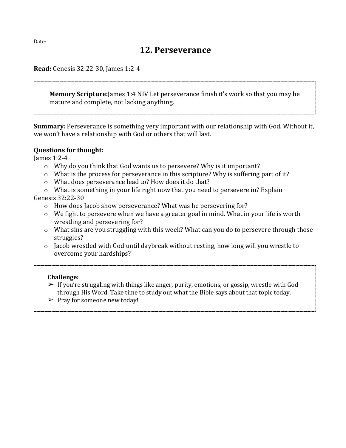### **12. Perseverance**

**Read:** Genesis 32:22-30, James 1:2-4

**Memory Scripture:**James 1:4 NIV Let perseverance finish it's work so that you may be mature and complete, not lacking anything.

**Summary:** Perseverance is something very important with our relationship with God. Without it, we won't have a relationship with God or others that will last.

#### **Questions for thought:**

James 1:2-4

- o Why do you think that God wants us to persevere? Why is it important?
- o What is the process for perseverance in this scripture? Why is suffering part of it?
- o What does perseverance lead to? How does it do that?
- o What is something in your life right now that you need to persevere in? Explain Genesis 32:22-30
	- o How does Jacob show perseverance? What was he persevering for?
	- o We fight to persevere when we have a greater goal in mind. What in your life is worth wrestling and persevering for?
	- o What sins are you struggling with this week? What can you do to persevere through those struggles?
	- o Jacob wrestled with God until daybreak without resting, how long will you wrestle to overcome your hardships?

- $\triangleright$  If you're struggling with things like anger, purity, emotions, or gossip, wrestle with God through His Word. Take time to study out what the Bible says about that topic today.
- $\triangleright$  Pray for someone new today!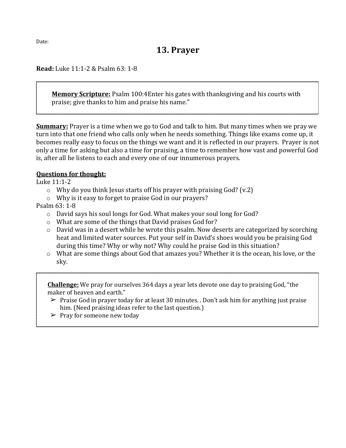**Read:** Luke 11:1-2 & Psalm 63: 1-8

**Memory Scripture:** Psalm 100:4Enter his gates with thanksgiving and his courts with praise; give thanks to him and praise his name."

**Summary:** Prayer is a time when we go to God and talk to him. But many times when we pray we turn into that one friend who calls only when he needs something. Things like exams come up, it becomes really easy to focus on the things we want and it is reflected in our prayers. Prayer is not only a time for asking but also a time for praising, a time to remember how vast and powerful God is, after all he listens to each and every one of our innumerous prayers.

#### **Questions for thought:**

Luke 11:1-2

- $\circ$  Why do you think Jesus starts off his prayer with praising God? (v.2)
- o Why is it easy to forget to praise God in our prayers?

Psalm 63: 1-8

- o David says his soul longs for God. What makes your soul long for God?
- o What are some of the things that David praises God for?
- o David was in a desert while he wrote this psalm. Now deserts are categorized by scorching heat and limited water sources. Put your self in David's shoes would you be praising God during this time? Why or why not? Why could he praise God in this situation?
- o What are some things about God that amazes you? Whether it is the ocean, his love, or the sky.

**Challenge:** We pray for ourselves 364 days a year lets devote one day to praising God, "the maker of heaven and earth."

- $\triangleright$  Praise God in prayer today for at least 30 minutes. . Don't ask him for anything just praise him. (Need praising ideas refer to the last question.)
- $\triangleright$  Pray for someone new today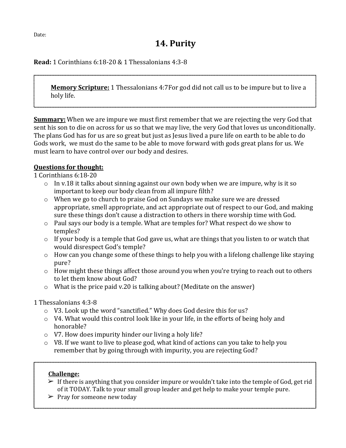## **14. Purity**

**Read:** 1 Corinthians 6:18-20 & 1 Thessalonians 4:3-8

**Memory Scripture:** 1 Thessalonians 4:7For god did not call us to be impure but to live a holy life.

**Summary:** When we are impure we must first remember that we are rejecting the very God that sent his son to die on across for us so that we may live, the very God that loves us unconditionally. The plans God has for us are so great but just as Jesus lived a pure life on earth to be able to do Gods work, we must do the same to be able to move forward with gods great plans for us. We must learn to have control over our body and desires.

#### **Questions for thought:**

1 Corinthians 6:18-20

- o In v.18 it talks about sinning against our own body when we are impure, why is it so important to keep our body clean from all impure filth?
- o When we go to church to praise God on Sundays we make sure we are dressed appropriate, smell appropriate, and act appropriate out of respect to our God, and making sure these things don't cause a distraction to others in there worship time with God.
- o Paul says our body is a temple. What are temples for? What respect do we show to temples?
- o If your body is a temple that God gave us, what are things that you listen to or watch that would disrespect God's temple?
- o How can you change some of these things to help you with a lifelong challenge like staying pure?
- o How might these things affect those around you when you're trying to reach out to others to let them know about God?
- o What is the price paid v.20 is talking about? (Meditate on the answer)

#### 1 Thessalonians 4:3-8

- o V3. Look up the word "sanctified." Why does God desire this for us?
- o V4. What would this control look like in your life, in the efforts of being holy and honorable?
- o V7. How does impurity hinder our living a holy life?
- o V8. If we want to live to please god, what kind of actions can you take to help you remember that by going through with impurity, you are rejecting God?

- $\triangleright$  If there is anything that you consider impure or wouldn't take into the temple of God, get rid of it TODAY. Talk to your small group leader and get help to make your temple pure.
- $\triangleright$  Pray for someone new today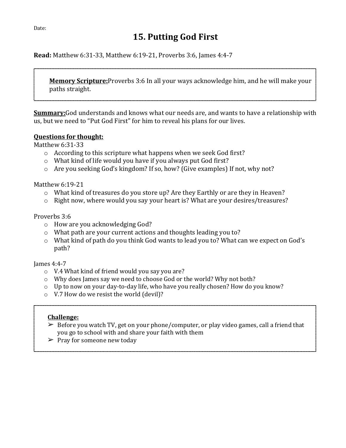## **15. Putting God First**

**Read:** Matthew 6:31-33, Matthew 6:19-21, Proverbs 3:6, James 4:4-7

**Memory Scripture:**Proverbs 3:6 In all your ways acknowledge him, and he will make your paths straight.

**Summary:**God understands and knows what our needs are, and wants to have a relationship with us, but we need to "Put God First" for him to reveal his plans for our lives.

#### **Questions for thought:**

Matthew 6:31-33

- o According to this scripture what happens when we seek God first?
- o What kind of life would you have if you always put God first?
- o Are you seeking God's kingdom? If so, how? (Give examples) If not, why not?

Matthew 6:19-21

- o What kind of treasures do you store up? Are they Earthly or are they in Heaven?
- $\circ$  Right now, where would you say your heart is? What are your desires/treasures?

#### Proverbs 3:6

- o How are you acknowledging God?
- o What path are your current actions and thoughts leading you to?
- o What kind of path do you think God wants to lead you to? What can we expect on God's path?

#### James 4:4-7

- o V.4 What kind of friend would you say you are?
- o Why does James say we need to choose God or the world? Why not both?
- o Up to now on your day-to-day life, who have you really chosen? How do you know?
- o V.7 How do we resist the world (devil)?

- $\triangleright$  Before you watch TV, get on your phone/computer, or play video games, call a friend that you go to school with and share your faith with them
- $\triangleright$  Pray for someone new today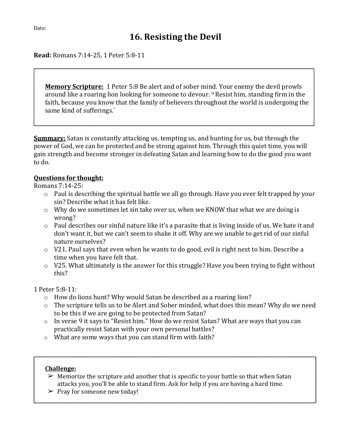**Read:** Romans 7:14-25, 1 Peter 5:8-11

**Memory Scripture:** 1 Peter 5:8 Be alert and of sober mind. Your enemy the devil prowls around like a roaring lion looking for someone to devour. 9 Resist him, standing firm in the faith, because you know that the family of believers throughout the world is undergoing the same kind of sufferings."

**Summary:** Satan is constantly attacking us, tempting us, and hunting for us, but through the power of God, we can be protected and be strong against him. Through this quiet time, you will gain strength and become stronger in defeating Satan and learning how to do the good you want to do.

#### **Questions for thought:**

Romans 7:14-25:

- o Paul is describing the spiritual battle we all go through. Have you ever felt trapped by your sin? Describe what it has felt like.
- o Why do we sometimes let sin take over us, when we KNOW that what we are doing is wrong?
- o Paul describes our sinful nature like it's a parasite that is living inside of us. We hate it and don't want it, but we can't seem to shake it off. Why are we unable to get rid of our sinful nature ourselves?
- $\circ$  V21. Paul says that even when he wants to do good, evil is right next to him. Describe a time when you have felt that.
- $\circ$  V25. What ultimately is the answer for this struggle? Have you been trying to fight without this?

1 Peter 5:8-11:

- o How do lions hunt? Why would Satan be described as a roaring lion?
- o The scripture tells us to be Alert and Sober minded, what does this mean? Why do we need to be this if we are going to be protected from Satan?
- o In verse 9 it says to "Resist him." How do we resist Satan? What are ways that you can practically resist Satan with your own personal battles?
- o What are some ways that you can stand firm with faith?

- $\triangleright$  Memorize the scripture and another that is specific to your battle so that when Satan attacks you, you'll be able to stand firm. Ask for help if you are having a hard time.
- $\triangleright$  Pray for someone new today!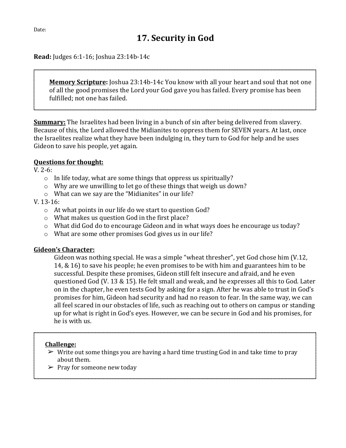**Read:** Judges 6:1-16; Joshua 23:14b-14c

**Memory Scripture:** Joshua 23:14b-14c You know with all your heart and soul that not one of all the good promises the Lord your God gave you has failed. Every promise has been fulfilled; not one has failed.

**Summary:** The Israelites had been living in a bunch of sin after being delivered from slavery. Because of this, the Lord allowed the Midianites to oppress them for SEVEN years. At last, once the Israelites realize what they have been indulging in, they turn to God for help and he uses Gideon to save his people, yet again.

#### **Questions for thought:**

V. 2-6:

- o In life today, what are some things that oppress us spiritually?
- o Why are we unwilling to let go of these things that weigh us down?
- o What can we say are the "Midianites" in our life?

#### V. 13-16:

- o At what points in our life do we start to question God?
- o What makes us question God in the first place?
- o What did God do to encourage Gideon and in what ways does he encourage us today?
- o What are some other promises God gives us in our life?

#### **Gideon's Character:**

Gideon was nothing special. He was a simple "wheat thresher", yet God chose him (V.12, 14, & 16) to save his people; he even promises to be with him and guarantees him to be successful. Despite these promises, Gideon still felt insecure and afraid, and he even questioned God (V. 13 & 15). He felt small and weak, and he expresses all this to God. Later on in the chapter, he even tests God by asking for a sign. After he was able to trust in God's promises for him, Gideon had security and had no reason to fear. In the same way, we can all feel scared in our obstacles of life, such as reaching out to others on campus or standing up for what is right in God's eyes. However, we can be secure in God and his promises, for he is with us.

- $\triangleright$  Write out some things you are having a hard time trusting God in and take time to pray about them.
- $\triangleright$  Pray for someone new today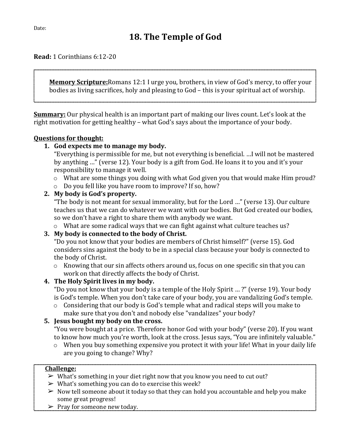**Read:** 1 Corinthians 6:12-20

**Memory Scripture:**Romans 12:1 I urge you, brothers, in view of God's mercy, to offer your bodies as living sacrifices, holy and pleasing to God – this is your spiritual act of worship.

**Summary:** Our physical health is an important part of making our lives count. Let's look at the right motivation for getting healthy – what God's says about the importance of your body.

#### **Questions for thought:**

#### **1. God expects me to manage my body.**

"Everything is permissible for me, but not everything is beneficial. …I will not be mastered by anything …" (verse 12). Your body is a gift from God. He loans it to you and it's your responsibility to manage it well.

- o What are some things you doing with what God given you that would make Him proud?
- o Do you fell like you have room to improve? If so, how?

#### **2. My body is God's property.**

"The body is not meant for sexual immorality, but for the Lord …" (verse 13). Our culture teaches us that we can do whatever we want with our bodies. But God created our bodies, so we don't have a right to share them with anybody we want.

o What are some radical ways that we can fight against what culture teaches us?

#### **3. My body is connected to the body of Christ.**

"Do you not know that your bodies are members of Christ himself?" (verse 15). God considers sins against the body to be in a special class because your body is connected to the body of Christ.

o Knowing that our sin affects others around us, focus on one specific sin that you can work on that directly affects the body of Christ.

#### **4. The Holy Spirit lives in my body.**

"Do you not know that your body is a temple of the Holy Spirit … ?" (verse 19). Your body is God's temple. When you don't take care of your body, you are vandalizing God's temple.

o Considering that our body is God's temple what and radical steps will you make to make sure that you don't and nobody else "vandalizes" your body?

#### **5. Jesus bought my body on the cross.**

"You were bought at a price. Therefore honor God with your body" (verse 20). If you want to know how much you're worth, look at the cross. Jesus says, "You are infinitely valuable."

o When you buy something expensive you protect it with your life! What in your daily life are you going to change? Why?

- $\triangleright$  What's something in your diet right now that you know you need to cut out?
- $\triangleright$  What's something you can do to exercise this week?
- $\triangleright$  Now tell someone about it today so that they can hold you accountable and help you make some great progress!
- $\triangleright$  Pray for someone new today.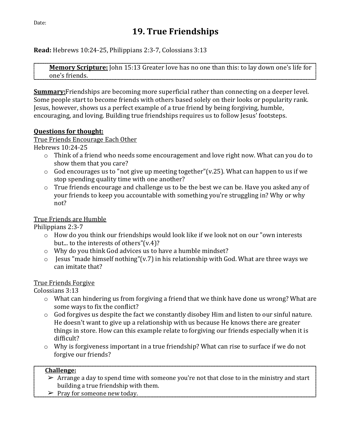**Read:** Hebrews 10:24-25, Philippians 2:3-7, Colossians 3:13

**Memory Scripture:** John 15:13 Greater love has no one than this: to lay down one's life for one's friends.

**Summary:**Friendships are becoming more superficial rather than connecting on a deeper level. Some people start to become friends with others based solely on their looks or popularity rank. Jesus, however, shows us a perfect example of a true friend by being forgiving, humble, encouraging, and loving. Building true friendships requires us to follow Jesus' footsteps.

#### **Questions for thought:**

True Friends Encourage Each Other

Hebrews 10:24-25

- o Think of a friend who needs some encouragement and love right now. What can you do to show them that you care?
- $\circ$  God encourages us to "not give up meeting together"(v.25). What can happen to us if we stop spending quality time with one another?
- o True friends encourage and challenge us to be the best we can be. Have you asked any of your friends to keep you accountable with something you're struggling in? Why or why not?

#### True Friends are Humble

Philippians 2:3-7

- $\circ$  How do you think our friendships would look like if we look not on our "own interests" but... to the interests of others"(v.4)?
- o Why do you think God advices us to have a humble mindset?
- $\circ$  Jesus "made himself nothing"(v.7) in his relationship with God. What are three ways we can imitate that?

#### True Friends Forgive

Colossians 3:13

- o What can hindering us from forgiving a friend that we think have done us wrong? What are some ways to fix the conflict?
- o God forgives us despite the fact we constantly disobey Him and listen to our sinful nature. He doesn't want to give up a relationship with us because He knows there are greater things in store. How can this example relate to forgiving our friends especially when it is difficult?
- $\circ$  Why is forgiveness important in a true friendship? What can rise to surface if we do not forgive our friends?

- $\triangleright$  Arrange a day to spend time with someone you're not that close to in the ministry and start building a true friendship with them.
- $\triangleright$  Pray for someone new today.